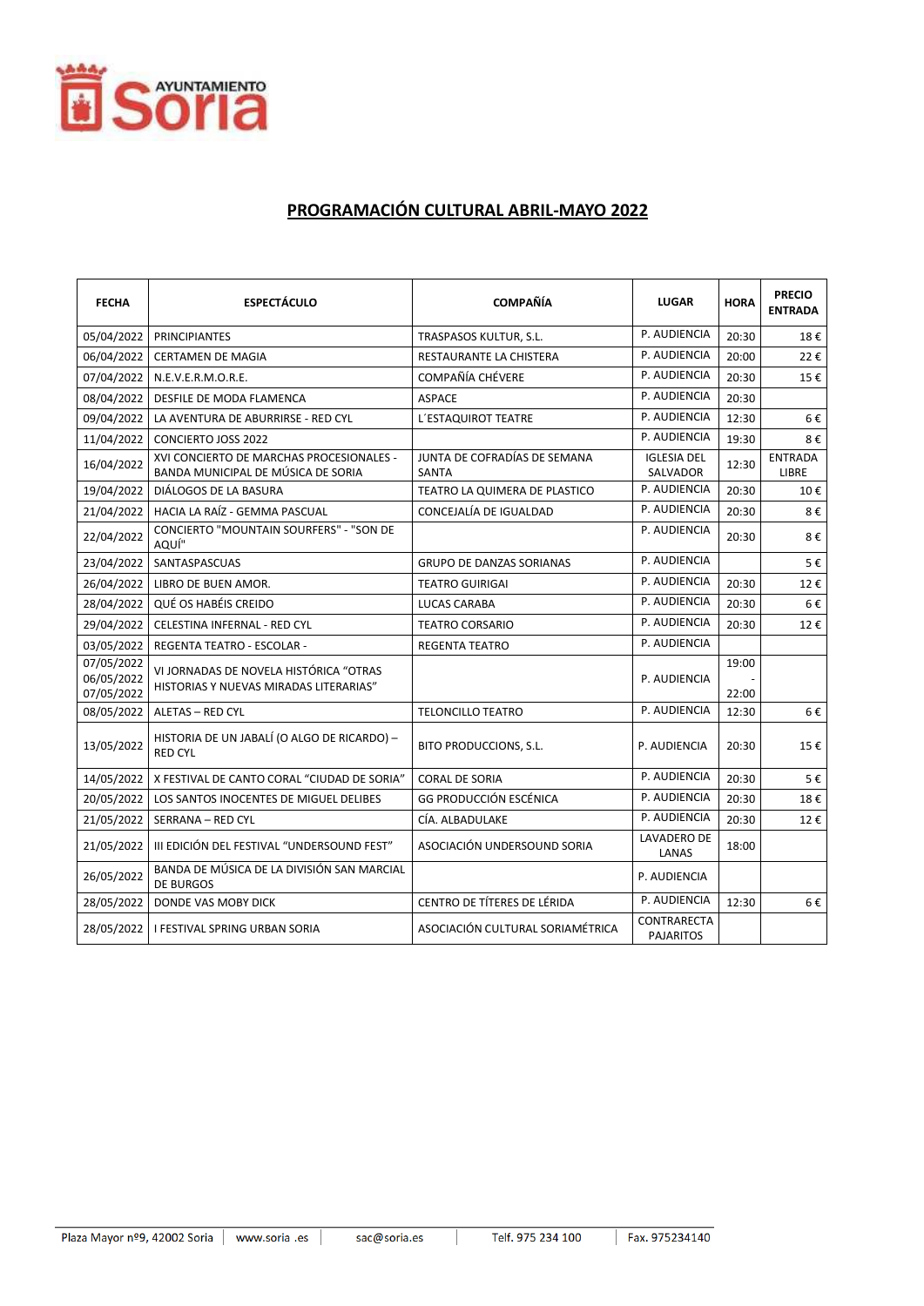

## PROGRAMACIÓN CULTURAL ABRIL-MAYO 2022

| <b>FECHA</b>                           | <b>ESPECTÁCULO</b>                                                               | <b>COMPAÑÍA</b>                       | <b>LUGAR</b>                    | <b>HORA</b>    | <b>PRECIO</b><br><b>ENTRADA</b> |
|----------------------------------------|----------------------------------------------------------------------------------|---------------------------------------|---------------------------------|----------------|---------------------------------|
| 05/04/2022                             | <b>PRINCIPIANTES</b>                                                             | TRASPASOS KULTUR, S.L.                | P. AUDIENCIA                    | 20:30          | 18€                             |
| 06/04/2022                             | <b>CERTAMEN DE MAGIA</b>                                                         | RESTAURANTE LA CHISTERA               | P. AUDIENCIA                    | 20:00          | 22€                             |
| 07/04/2022                             | N.E.V.E.R.M.O.R.E.                                                               | COMPAÑÍA CHÉVERE                      | P. AUDIENCIA                    | 20:30          | 15€                             |
| 08/04/2022                             | DESFILE DE MODA FLAMENCA                                                         | <b>ASPACE</b>                         | P. AUDIENCIA                    | 20:30          |                                 |
| 09/04/2022                             | LA AVENTURA DE ABURRIRSE - RED CYL                                               | L'ESTAQUIROT TEATRE                   | P. AUDIENCIA                    | 12:30          | 6€                              |
| 11/04/2022                             | <b>CONCIERTO JOSS 2022</b>                                                       |                                       | P. AUDIENCIA                    | 19:30          | 8€                              |
| 16/04/2022                             | XVI CONCIERTO DE MARCHAS PROCESIONALES -<br>BANDA MUNICIPAL DE MÚSICA DE SORIA   | JUNTA DE COFRADÍAS DE SEMANA<br>SANTA | <b>IGLESIA DEL</b><br>SALVADOR  | 12:30          | <b>ENTRADA</b><br>LIBRE         |
| 19/04/2022                             | DIÁLOGOS DE LA BASURA                                                            | TEATRO LA QUIMERA DE PLASTICO         | P. AUDIENCIA                    | 20:30          | 10€                             |
| 21/04/2022                             | HACIA LA RAÍZ - GEMMA PASCUAL                                                    | CONCEJALÍA DE IGUALDAD                | P. AUDIENCIA                    | 20:30          | 8€                              |
| 22/04/2022                             | CONCIERTO "MOUNTAIN SOURFERS" - "SON DE<br>AQUÍ"                                 |                                       | P. AUDIENCIA                    | 20:30          | 8€                              |
| 23/04/2022                             | SANTASPASCUAS                                                                    | <b>GRUPO DE DANZAS SORIANAS</b>       | P. AUDIENCIA                    |                | 5€                              |
| 26/04/2022                             | LIBRO DE BUEN AMOR.                                                              | <b>TEATRO GUIRIGAI</b>                | P. AUDIENCIA                    | 20:30          | 12€                             |
| 28/04/2022                             | QUÉ OS HABÉIS CREIDO                                                             | <b>LUCAS CARABA</b>                   | P. AUDIENCIA                    | 20:30          | 6€                              |
| 29/04/2022                             | CELESTINA INFERNAL - RED CYL                                                     | <b>TEATRO CORSARIO</b>                | P. AUDIENCIA                    | 20:30          | 12€                             |
| 03/05/2022                             | <b>REGENTA TEATRO - ESCOLAR -</b>                                                | <b>REGENTA TEATRO</b>                 | P. AUDIENCIA                    |                |                                 |
| 07/05/2022<br>06/05/2022<br>07/05/2022 | VI JORNADAS DE NOVELA HISTÓRICA "OTRAS<br>HISTORIAS Y NUEVAS MIRADAS LITERARIAS" |                                       | P. AUDIENCIA                    | 19:00<br>22:00 |                                 |
| 08/05/2022                             | ALETAS - RED CYL                                                                 | <b>TELONCILLO TEATRO</b>              | P. AUDIENCIA                    | 12:30          | 6€                              |
| 13/05/2022                             | HISTORIA DE UN JABALÍ (O ALGO DE RICARDO) -<br><b>RED CYL</b>                    | BITO PRODUCCIONS, S.L.                | P. AUDIENCIA                    | 20:30          | 15€                             |
| 14/05/2022                             | X FESTIVAL DE CANTO CORAL "CIUDAD DE SORIA"                                      | <b>CORAL DE SORIA</b>                 | P. AUDIENCIA                    | 20:30          | 5€                              |
| 20/05/2022                             | LOS SANTOS INOCENTES DE MIGUEL DELIBES                                           | <b>GG PRODUCCIÓN ESCÉNICA</b>         | P. AUDIENCIA                    | 20:30          | 18€                             |
| 21/05/2022                             | SERRANA - RED CYL                                                                | CÍA. ALBADULAKE                       | P. AUDIENCIA                    | 20:30          | 12€                             |
| 21/05/2022                             | III EDICIÓN DEL FESTIVAL "UNDERSOUND FEST"                                       | ASOCIACIÓN UNDERSOUND SORIA           | LAVADERO DE<br>LANAS            | 18:00          |                                 |
| 26/05/2022                             | BANDA DE MÚSICA DE LA DIVISIÓN SAN MARCIAL<br><b>DE BURGOS</b>                   |                                       | P. AUDIENCIA                    |                |                                 |
| 28/05/2022                             | DONDE VAS MOBY DICK                                                              | CENTRO DE TÍTERES DE LÉRIDA           | P. AUDIENCIA                    | 12:30          | 6€                              |
| 28/05/2022                             | <b>I FESTIVAL SPRING URBAN SORIA</b>                                             | ASOCIACIÓN CULTURAL SORIAMÉTRICA      | CONTRARECTA<br><b>PAJARITOS</b> |                |                                 |

 $\overline{\phantom{a}}$